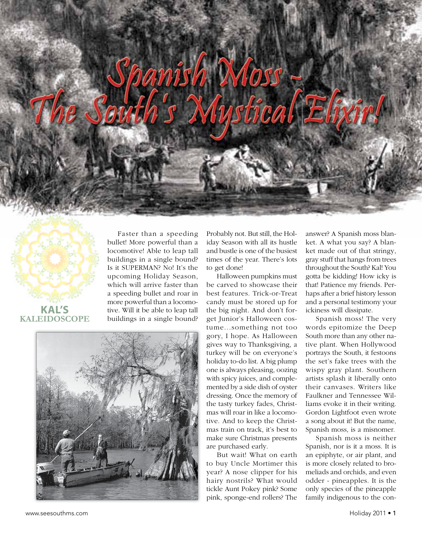



**Kaleidoscope** buildings in a single bound? Is it SUPERMAN? No! It's the upcoming Holiday Season, which will arrive faster than a speeding bullet and roar in more powerful than a locomotive. Will it be able to leap tall buildings in a single bound?

Faster than a speeding bullet! More powerful than a locomotive! Able to leap tall

Probably not. But still, the Holiday Season with all its hustle and bustle is one of the busiest times of the year. There's lots to get done!

Halloween pumpkins must be carved to showcase their best features. Trick-or-Treat candy must be stored up for the big night. And don't forget Junior's Halloween costume...something not too gory, I hope. As Halloween gives way to Thanksgiving, a turkey will be on everyone's holiday to-do list. A big plump one is always pleasing, oozing with spicy juices, and complemented by a side dish of oyster dressing. Once the memory of the tasty turkey fades, Christmas will roar in like a locomotive. And to keep the Christmas train on track, it's best to make sure Christmas presents are purchased early.

But wait! What on earth to buy Uncle Mortimer this year? A nose clipper for his hairy nostrils? What would tickle Aunt Pokey pink? Some pink, sponge-end rollers? The

answer? A Spanish moss blanket. A what you say? A blanket made out of that stringy, gray stuff that hangs from trees throughout the South? Kal! You gotta be kidding! How icky is that! Patience my friends. Perhaps after a brief history lesson and a personal testimony your ickiness will dissipate.

Spanish moss! The very words epitomize the Deep South more than any other native plant. When Hollywood portrays the South, it festoons the set's fake trees with the wispy gray plant. Southern artists splash it liberally onto their canvases. Writers like Faulkner and Tennessee Williams evoke it in their writing. Gordon Lightfoot even wrote a song about it! But the name, Spanish moss, is a misnomer.

Spanish moss is neither Spanish, nor is it a moss. It is an epiphyte, or air plant, and is more closely related to bromeliads and orchids, and even odder - pineapples. It is the only species of the pineapple family indigenous to the con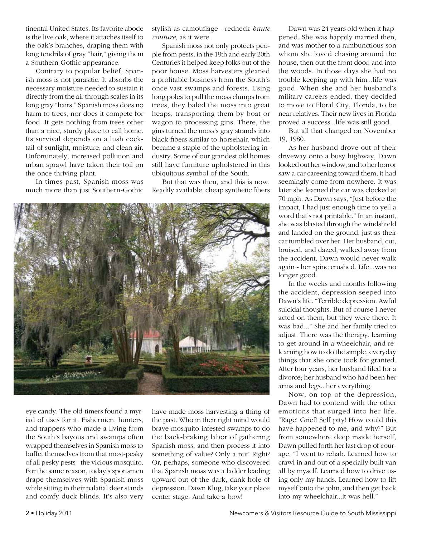tinental United States. Its favorite abode is the live oak, where it attaches itself to the oak's branches, draping them with long tendrils of gray "hair," giving them a Southern-Gothic appearance.

Contrary to popular belief, Spanish moss is not parasitic. It absorbs the necessary moisture needed to sustain it directly from the air through scales in its long gray "hairs." Spanish moss does no harm to trees, nor does it compete for food. It gets nothing from trees other than a nice, sturdy place to call home. Its survival depends on a lush cocktail of sunlight, moisture, and clean air. Unfortunately, increased pollution and urban sprawl have taken their toil on the once thriving plant.

In times past, Spanish moss was much more than just Southern-Gothic stylish as camouflage - redneck *haute couture,* as it were.

Spanish moss not only protects people from pests, in the 19th and early 20th Centuries it helped keep folks out of the poor house. Moss harvesters gleaned a profitable business from the South's once vast swamps and forests. Using long poles to pull the moss clumps from trees, they baled the moss into great heaps, transporting them by boat or wagon to processing gins. There, the gins turned the moss's gray strands into black fibers similar to horsehair, which became a staple of the upholstering industry. Some of our grandest old homes still have furniture upholstered in this ubiquitous symbol of the South.

But that was then, and this is now. Readily available, cheap synthetic fibers



eye candy. The old-timers found a myriad of uses for it. Fishermen, hunters, and trappers who made a living from the South's bayous and swamps often wrapped themselves in Spanish moss to buffet themselves from that most-pesky of all pesky pests - the vicious mosquito. For the same reason, today's sportsmen drape themselves with Spanish moss while sitting in their palatial deer stands and comfy duck blinds. It's also very

have made moss harvesting a thing of the past. Who in their right mind would brave mosquito-infested swamps to do the back-braking labor of gathering Spanish moss, and then process it into something of value? Only a nut! Right? Or, perhaps, someone who discovered that Spanish moss was a ladder leading upward out of the dark, dank hole of depression. Dawn Klug, take your place center stage. And take a bow!

Dawn was 24 years old when it happened. She was happily married then, and was mother to a rambunctious son whom she loved chasing around the house, then out the front door, and into the woods. In those days she had no trouble keeping up with him...life was good. When she and her husband's military careers ended, they decided to move to Floral City, Florida, to be near relatives. Their new lives in Florida proved a success...life was still good.

But all that changed on November 19, 1980.

As her husband drove out of their driveway onto a busy highway, Dawn looked out her window, and to her horror saw a car careening toward them; it had seemingly come from nowhere. It was later she learned the car was clocked at 70 mph. As Dawn says, "Just before the impact, I had just enough time to yell a word that's not printable." In an instant, she was blasted through the windshield and landed on the ground, just as their car tumbled over her. Her husband, cut, bruised, and dazed, walked away from the accident. Dawn would never walk again - her spine crushed. Life...was no longer good.

In the weeks and months following the accident, depression seeped into Dawn's life. "Terrible depression. Awful suicidal thoughts. But of course I never acted on them, but they were there. It was bad..." She and her family tried to adjust. There was the therapy, learning to get around in a wheelchair, and relearning how to do the simple, everyday things that she once took for granted. After four years, her husband filed for a divorce; her husband who had been her arms and legs...her everything.

Now, on top of the depression, Dawn had to contend with the other emotions that surged into her life. "Rage! Grief! Self pity! How could this have happened to me, and why?" But from somewhere deep inside herself, Dawn pulled forth her last drop of courage. "I went to rehab. Learned how to crawl in and out of a specially built van all by myself. Learned how to drive using only my hands. Learned how to lift myself onto the john, and then get back into my wheelchair...it was hell."